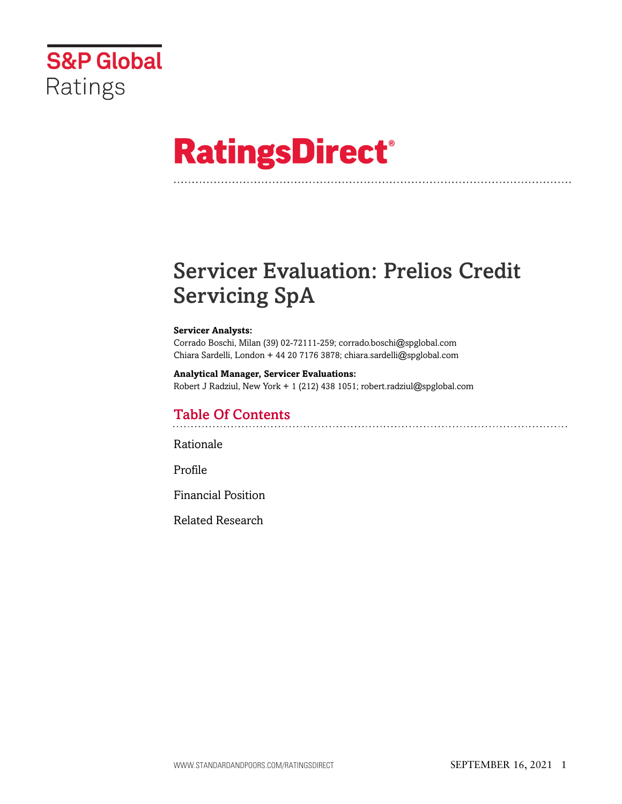

# **RatingsDirect®**

# Servicer Evaluation: Prelios Credit Servicing SpA

#### **Servicer Analysts:**

Corrado Boschi, Milan (39) 02-72111-259; corrado.boschi@spglobal.com Chiara Sardelli, London + 44 20 7176 3878; chiara.sardelli@spglobal.com

#### **Analytical Manager, Servicer Evaluations:** Robert J Radziul, New York + 1 (212) 438 1051; robert.radziul@spglobal.com

# Table Of Contents

[Rationale](#page-1-0)

[Profile](#page-3-0)

[Financial Position](#page-17-0)

[Related Research](#page-17-1)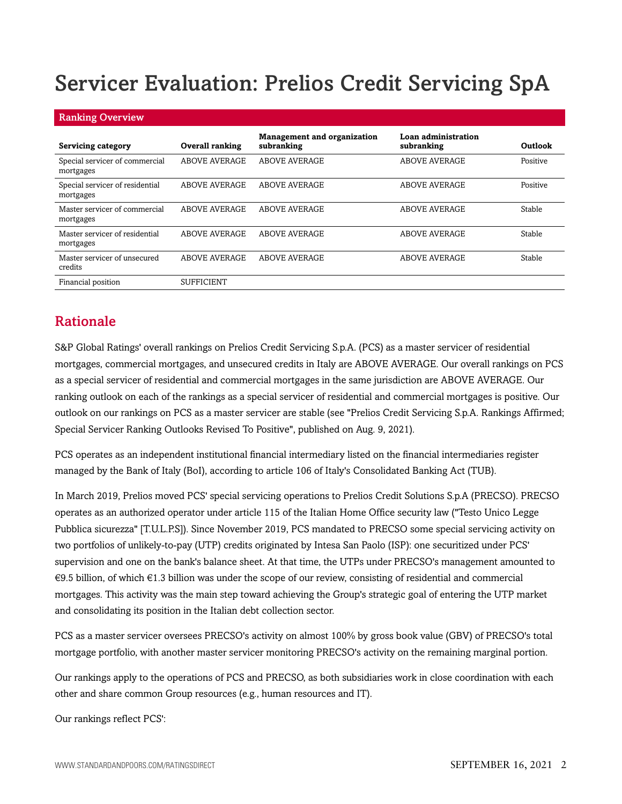# Servicer Evaluation: Prelios Credit Servicing SpA

| <b>Ranking Overview</b>                      |                        |                                                  |                                   |          |  |  |  |  |  |
|----------------------------------------------|------------------------|--------------------------------------------------|-----------------------------------|----------|--|--|--|--|--|
| Servicing category                           | <b>Overall ranking</b> | <b>Management and organization</b><br>subranking | Loan administration<br>subranking | Outlook  |  |  |  |  |  |
| Special servicer of commercial<br>mortgages  | <b>ABOVE AVERAGE</b>   | <b>ABOVE AVERAGE</b>                             | <b>ABOVE AVERAGE</b>              | Positive |  |  |  |  |  |
| Special servicer of residential<br>mortgages | <b>ABOVE AVERAGE</b>   | ABOVE AVERAGE                                    | <b>ABOVE AVERAGE</b>              | Positive |  |  |  |  |  |
| Master servicer of commercial<br>mortgages   | <b>ABOVE AVERAGE</b>   | <b>ABOVE AVERAGE</b>                             | <b>ABOVE AVERAGE</b>              | Stable   |  |  |  |  |  |
| Master servicer of residential<br>mortgages  | <b>ABOVE AVERAGE</b>   | <b>ABOVE AVERAGE</b>                             | <b>ABOVE AVERAGE</b>              | Stable   |  |  |  |  |  |
| Master servicer of unsecured<br>credits      | <b>ABOVE AVERAGE</b>   | <b>ABOVE AVERAGE</b>                             | <b>ABOVE AVERAGE</b>              | Stable   |  |  |  |  |  |
| Financial position                           | <b>SUFFICIENT</b>      |                                                  |                                   |          |  |  |  |  |  |

# <span id="page-1-0"></span>Rationale

S&P Global Ratings' overall rankings on Prelios Credit Servicing S.p.A. (PCS) as a master servicer of residential mortgages, commercial mortgages, and unsecured credits in Italy are ABOVE AVERAGE. Our overall rankings on PCS as a special servicer of residential and commercial mortgages in the same jurisdiction are ABOVE AVERAGE. Our ranking outlook on each of the rankings as a special servicer of residential and commercial mortgages is positive. Our outlook on our rankings on PCS as a master servicer are stable (see "Prelios Credit Servicing S.p.A. Rankings Affirmed; Special Servicer Ranking Outlooks Revised To Positive", published on Aug. 9, 2021).

PCS operates as an independent institutional financial intermediary listed on the financial intermediaries register managed by the Bank of Italy (BoI), according to article 106 of Italy's Consolidated Banking Act (TUB).

In March 2019, Prelios moved PCS' special servicing operations to Prelios Credit Solutions S.p.A (PRECSO). PRECSO operates as an authorized operator under article 115 of the Italian Home Office security law ("Testo Unico Legge Pubblica sicurezza" [T.U.L.P.S]). Since November 2019, PCS mandated to PRECSO some special servicing activity on two portfolios of unlikely-to-pay (UTP) credits originated by Intesa San Paolo (ISP): one securitized under PCS' supervision and one on the bank's balance sheet. At that time, the UTPs under PRECSO's management amounted to €9.5 billion, of which €1.3 billion was under the scope of our review, consisting of residential and commercial mortgages. This activity was the main step toward achieving the Group's strategic goal of entering the UTP market and consolidating its position in the Italian debt collection sector.

PCS as a master servicer oversees PRECSO's activity on almost 100% by gross book value (GBV) of PRECSO's total mortgage portfolio, with another master servicer monitoring PRECSO's activity on the remaining marginal portion.

Our rankings apply to the operations of PCS and PRECSO, as both subsidiaries work in close coordination with each other and share common Group resources (e.g., human resources and IT).

Our rankings reflect PCS':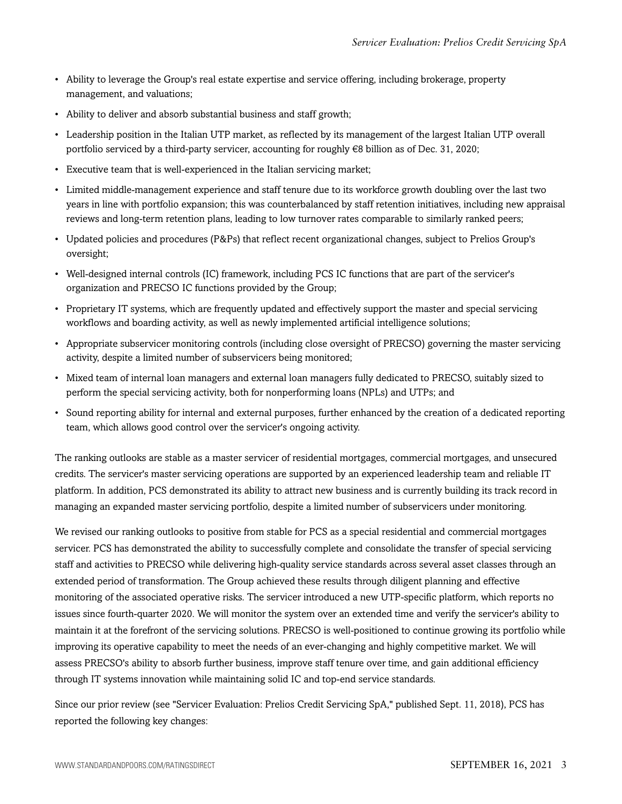- Ability to leverage the Group's real estate expertise and service offering, including brokerage, property management, and valuations;
- Ability to deliver and absorb substantial business and staff growth;
- Leadership position in the Italian UTP market, as reflected by its management of the largest Italian UTP overall portfolio serviced by a third-party servicer, accounting for roughly €8 billion as of Dec. 31, 2020;
- Executive team that is well-experienced in the Italian servicing market;
- Limited middle-management experience and staff tenure due to its workforce growth doubling over the last two years in line with portfolio expansion; this was counterbalanced by staff retention initiatives, including new appraisal reviews and long-term retention plans, leading to low turnover rates comparable to similarly ranked peers;
- Updated policies and procedures (P&Ps) that reflect recent organizational changes, subject to Prelios Group's oversight;
- Well-designed internal controls (IC) framework, including PCS IC functions that are part of the servicer's organization and PRECSO IC functions provided by the Group;
- Proprietary IT systems, which are frequently updated and effectively support the master and special servicing workflows and boarding activity, as well as newly implemented artificial intelligence solutions;
- Appropriate subservicer monitoring controls (including close oversight of PRECSO) governing the master servicing activity, despite a limited number of subservicers being monitored;
- Mixed team of internal loan managers and external loan managers fully dedicated to PRECSO, suitably sized to perform the special servicing activity, both for nonperforming loans (NPLs) and UTPs; and
- Sound reporting ability for internal and external purposes, further enhanced by the creation of a dedicated reporting team, which allows good control over the servicer's ongoing activity.

The ranking outlooks are stable as a master servicer of residential mortgages, commercial mortgages, and unsecured credits. The servicer's master servicing operations are supported by an experienced leadership team and reliable IT platform. In addition, PCS demonstrated its ability to attract new business and is currently building its track record in managing an expanded master servicing portfolio, despite a limited number of subservicers under monitoring.

We revised our ranking outlooks to positive from stable for PCS as a special residential and commercial mortgages servicer. PCS has demonstrated the ability to successfully complete and consolidate the transfer of special servicing staff and activities to PRECSO while delivering high-quality service standards across several asset classes through an extended period of transformation. The Group achieved these results through diligent planning and effective monitoring of the associated operative risks. The servicer introduced a new UTP-specific platform, which reports no issues since fourth-quarter 2020. We will monitor the system over an extended time and verify the servicer's ability to maintain it at the forefront of the servicing solutions. PRECSO is well-positioned to continue growing its portfolio while improving its operative capability to meet the needs of an ever-changing and highly competitive market. We will assess PRECSO's ability to absorb further business, improve staff tenure over time, and gain additional efficiency through IT systems innovation while maintaining solid IC and top-end service standards.

Since our prior review (see "Servicer Evaluation: Prelios Credit Servicing SpA," published Sept. 11, 2018), PCS has reported the following key changes: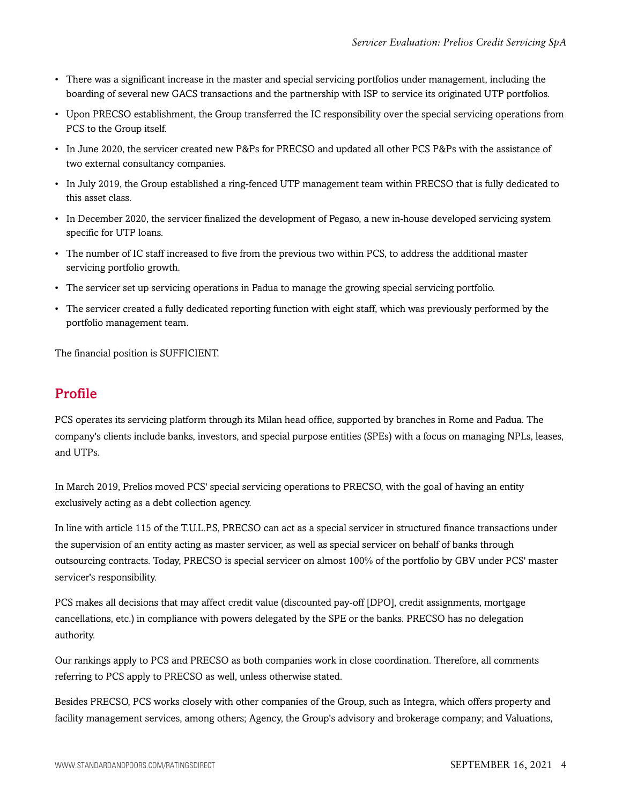- There was a significant increase in the master and special servicing portfolios under management, including the boarding of several new GACS transactions and the partnership with ISP to service its originated UTP portfolios.
- Upon PRECSO establishment, the Group transferred the IC responsibility over the special servicing operations from PCS to the Group itself.
- In June 2020, the servicer created new P&Ps for PRECSO and updated all other PCS P&Ps with the assistance of two external consultancy companies.
- In July 2019, the Group established a ring-fenced UTP management team within PRECSO that is fully dedicated to this asset class.
- In December 2020, the servicer finalized the development of Pegaso, a new in-house developed servicing system specific for UTP loans.
- The number of IC staff increased to five from the previous two within PCS, to address the additional master servicing portfolio growth.
- The servicer set up servicing operations in Padua to manage the growing special servicing portfolio.
- The servicer created a fully dedicated reporting function with eight staff, which was previously performed by the portfolio management team.

<span id="page-3-0"></span>The financial position is SUFFICIENT.

### Profile

PCS operates its servicing platform through its Milan head office, supported by branches in Rome and Padua. The company's clients include banks, investors, and special purpose entities (SPEs) with a focus on managing NPLs, leases, and UTPs.

In March 2019, Prelios moved PCS' special servicing operations to PRECSO, with the goal of having an entity exclusively acting as a debt collection agency.

In line with article 115 of the T.U.L.P.S, PRECSO can act as a special servicer in structured finance transactions under the supervision of an entity acting as master servicer, as well as special servicer on behalf of banks through outsourcing contracts. Today, PRECSO is special servicer on almost 100% of the portfolio by GBV under PCS' master servicer's responsibility.

PCS makes all decisions that may affect credit value (discounted pay-off [DPO], credit assignments, mortgage cancellations, etc.) in compliance with powers delegated by the SPE or the banks. PRECSO has no delegation authority.

Our rankings apply to PCS and PRECSO as both companies work in close coordination. Therefore, all comments referring to PCS apply to PRECSO as well, unless otherwise stated.

Besides PRECSO, PCS works closely with other companies of the Group, such as Integra, which offers property and facility management services, among others; Agency, the Group's advisory and brokerage company; and Valuations,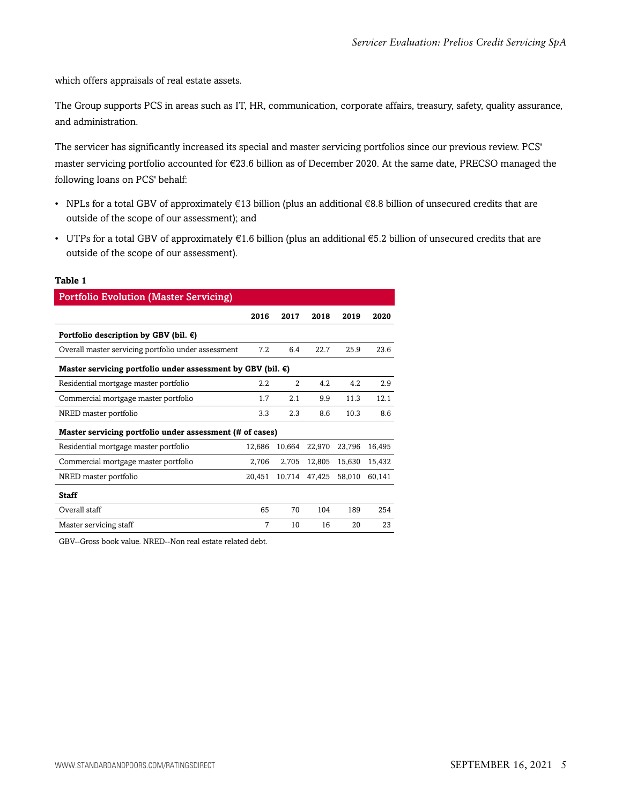which offers appraisals of real estate assets.

The Group supports PCS in areas such as IT, HR, communication, corporate affairs, treasury, safety, quality assurance, and administration.

The servicer has significantly increased its special and master servicing portfolios since our previous review. PCS' master servicing portfolio accounted for €23.6 billion as of December 2020. At the same date, PRECSO managed the following loans on PCS' behalf:

- NPLs for a total GBV of approximately  $\epsilon$ 13 billion (plus an additional  $\epsilon$ 8.8 billion of unsecured credits that are outside of the scope of our assessment); and
- UTPs for a total GBV of approximately  $€1.6$  billion (plus an additional  $€5.2$  billion of unsecured credits that are outside of the scope of our assessment).

#### **Table 1**

| <b>Portfolio Evolution (Master Servicing)</b>                         |        |                |        |        |        |  |  |  |
|-----------------------------------------------------------------------|--------|----------------|--------|--------|--------|--|--|--|
|                                                                       | 2016   | 2017           | 2018   | 2019   | 2020   |  |  |  |
| Portfolio description by GBV (bil. $\epsilon$ )                       |        |                |        |        |        |  |  |  |
| Overall master servicing portfolio under assessment                   | 7.2    | 6.4            | 22.7   | 25.9   | 23.6   |  |  |  |
| Master servicing portfolio under assessment by GBV (bil. $\epsilon$ ) |        |                |        |        |        |  |  |  |
| Residential mortgage master portfolio                                 | 2.2    | $\mathfrak{D}$ | 4.2    | 4.2    | 2.9    |  |  |  |
| Commercial mortgage master portfolio                                  | 1.7    | 2.1            | 9.9    | 11.3   | 12.1   |  |  |  |
| NRED master portfolio                                                 | 3.3    | 2.3            | 8.6    | 10.3   | 8.6    |  |  |  |
| Master servicing portfolio under assessment (# of cases)              |        |                |        |        |        |  |  |  |
| Residential mortgage master portfolio                                 | 12,686 | 10,664         | 22,970 | 23,796 | 16,495 |  |  |  |
| Commercial mortgage master portfolio                                  | 2,706  | 2,705          | 12,805 | 15,630 | 15,432 |  |  |  |
| NRED master portfolio                                                 | 20,451 | 10,714         | 47,425 | 58,010 | 60,141 |  |  |  |
| <b>Staff</b>                                                          |        |                |        |        |        |  |  |  |
| Overall staff                                                         | 65     | 70             | 104    | 189    | 254    |  |  |  |
| Master servicing staff                                                | 7      | 10             | 16     | 20     | 23     |  |  |  |

GBV--Gross book value. NRED--Non real estate related debt.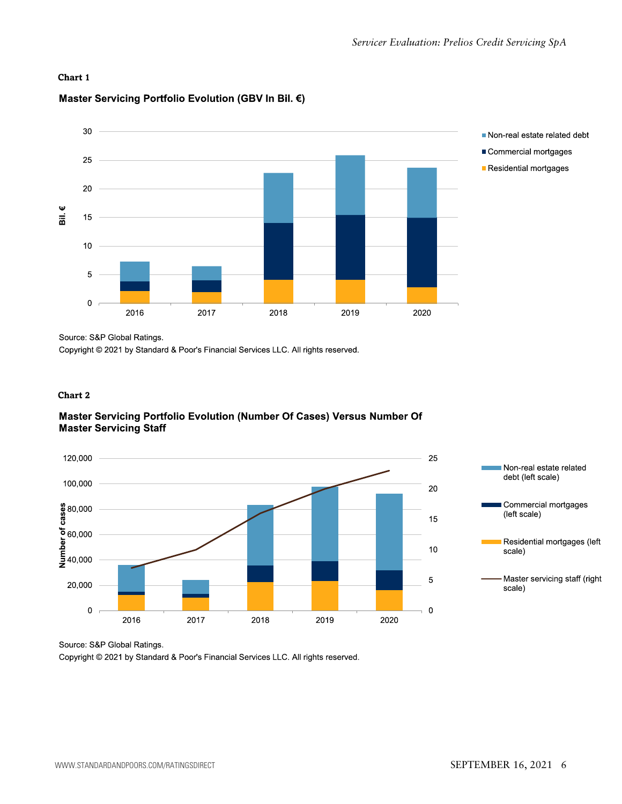#### **Chart 1**

#### Master Servicing Portfolio Evolution (GBV In Bil. €)



Source: S&P Global Ratings.

Copyright © 2021 by Standard & Poor's Financial Services LLC. All rights reserved.

#### **Chart 2**

#### Master Servicing Portfolio Evolution (Number Of Cases) Versus Number Of **Master Servicing Staff**



Commercial mortgages Residential mortgages (left Master servicing staff (right

Source: S&P Global Ratings.

Copyright @ 2021 by Standard & Poor's Financial Services LLC. All rights reserved.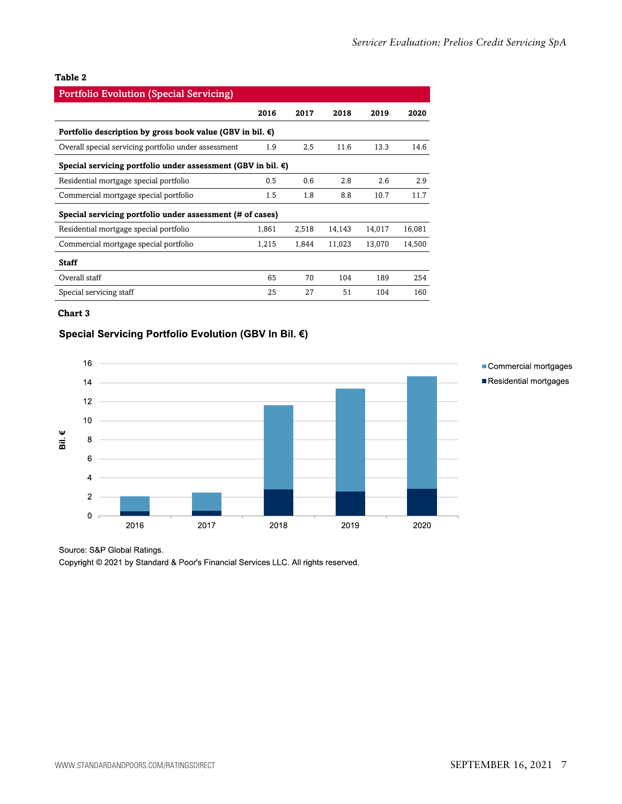#### **Table 2**

| <b>Portfolio Evolution (Special Servicing)</b>                         |       |       |        |        |        |  |  |  |  |
|------------------------------------------------------------------------|-------|-------|--------|--------|--------|--|--|--|--|
|                                                                        | 2016  | 2017  | 2018   | 2019   | 2020   |  |  |  |  |
| Portfolio description by gross book value (GBV in bil. $\epsilon$ )    |       |       |        |        |        |  |  |  |  |
| Overall special servicing portfolio under assessment                   | 1.9   | 2.5   | 11.6   | 13.3   | 14.6   |  |  |  |  |
| Special servicing portfolio under assessment (GBV in bil. $\epsilon$ ) |       |       |        |        |        |  |  |  |  |
| Residential mortgage special portfolio                                 | 0.5   | 0.6   | 2.8    | 2.6    | 2.9    |  |  |  |  |
| Commercial mortgage special portfolio                                  | 1.5   | 1.8   | 8.8    | 10.7   | 11.7   |  |  |  |  |
| Special servicing portfolio under assessment (# of cases)              |       |       |        |        |        |  |  |  |  |
| Residential mortgage special portfolio                                 | 1,861 | 2,518 | 14,143 | 14,017 | 16,081 |  |  |  |  |
| Commercial mortgage special portfolio                                  | 1,215 | 1,844 | 11,023 | 13,070 | 14,500 |  |  |  |  |
| <b>Staff</b>                                                           |       |       |        |        |        |  |  |  |  |
| Overall staff                                                          | 65    | 70    | 104    | 189    | 254    |  |  |  |  |
| Special servicing staff                                                | 25    | 27    | 51     | 104    | 160    |  |  |  |  |

#### **Chart 3**

#### Special Servicing Portfolio Evolution (GBV In Bil. €)



#### Commercial mortgages Residential mortgages

#### Source: S&P Global Ratings.

Copyright © 2021 by Standard & Poor's Financial Services LLC. All rights reserved.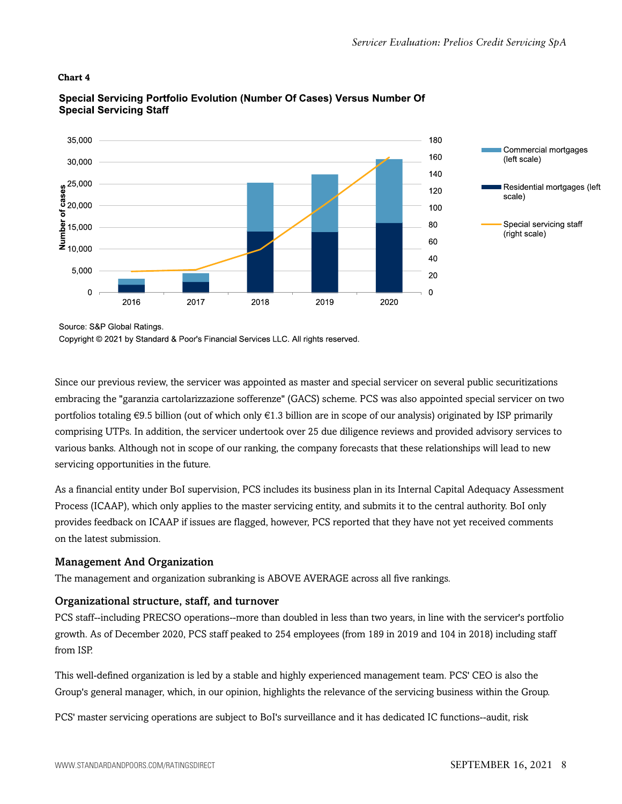#### **Chart 4**



#### Special Servicing Portfolio Evolution (Number Of Cases) Versus Number Of **Special Servicing Staff**

Source: S&P Global Ratings.

Copyright © 2021 by Standard & Poor's Financial Services LLC. All rights reserved.

Since our previous review, the servicer was appointed as master and special servicer on several public securitizations embracing the "garanzia cartolarizzazione sofferenze" (GACS) scheme. PCS was also appointed special servicer on two portfolios totaling  $\epsilon$ 9.5 billion (out of which only  $\epsilon$ 1.3 billion are in scope of our analysis) originated by ISP primarily comprising UTPs. In addition, the servicer undertook over 25 due diligence reviews and provided advisory services to various banks. Although not in scope of our ranking, the company forecasts that these relationships will lead to new servicing opportunities in the future.

As a financial entity under BoI supervision, PCS includes its business plan in its Internal Capital Adequacy Assessment Process (ICAAP), which only applies to the master servicing entity, and submits it to the central authority. BoI only provides feedback on ICAAP if issues are flagged, however, PCS reported that they have not yet received comments on the latest submission.

#### Management And Organization

The management and organization subranking is ABOVE AVERAGE across all five rankings.

#### Organizational structure, staff, and turnover

PCS staff--including PRECSO operations--more than doubled in less than two years, in line with the servicer's portfolio growth. As of December 2020, PCS staff peaked to 254 employees (from 189 in 2019 and 104 in 2018) including staff from ISP.

This well-defined organization is led by a stable and highly experienced management team. PCS' CEO is also the Group's general manager, which, in our opinion, highlights the relevance of the servicing business within the Group.

PCS' master servicing operations are subject to BoI's surveillance and it has dedicated IC functions--audit, risk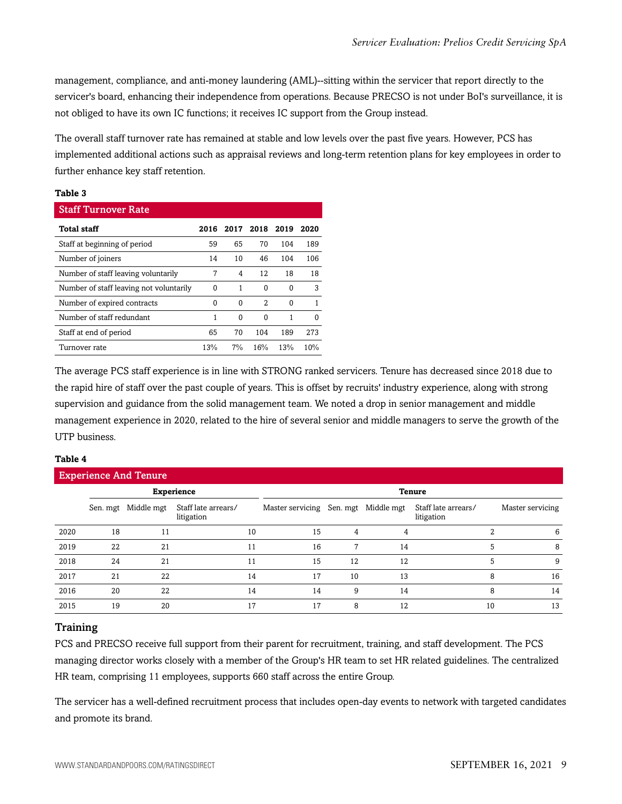management, compliance, and anti-money laundering (AML)--sitting within the servicer that report directly to the servicer's board, enhancing their independence from operations. Because PRECSO is not under BoI's surveillance, it is not obliged to have its own IC functions; it receives IC support from the Group instead.

The overall staff turnover rate has remained at stable and low levels over the past five years. However, PCS has implemented additional actions such as appraisal reviews and long-term retention plans for key employees in order to further enhance key staff retention.

#### **Table 3**

| <b>Staff Turnover Rate</b>              |      |       |      |      |      |  |  |  |  |
|-----------------------------------------|------|-------|------|------|------|--|--|--|--|
| <b>Total staff</b>                      | 2016 | 2017  | 2018 | 2019 | 2020 |  |  |  |  |
| Staff at beginning of period            | 59   | 65    | 70   | 104  | 189  |  |  |  |  |
| Number of joiners                       | 14   | 10    | 46   | 104  | 106  |  |  |  |  |
| Number of staff leaving voluntarily     | 7    | 4     | 12   | 18   | 18   |  |  |  |  |
| Number of staff leaving not voluntarily | 0    | 1     | 0    | 0    | 3    |  |  |  |  |
| Number of expired contracts             | 0    | 0     | 2    | 0    |      |  |  |  |  |
| Number of staff redundant               | 1    | 0     | 0    | 1    | 0    |  |  |  |  |
| Staff at end of period                  | 65   | 70    | 104  | 189  | 273  |  |  |  |  |
| Turnover rate                           | 13%  | $7\%$ | 16%  | 13%  | 10%  |  |  |  |  |

The average PCS staff experience is in line with STRONG ranked servicers. Tenure has decreased since 2018 due to the rapid hire of staff over the past couple of years. This is offset by recruits' industry experience, along with strong supervision and guidance from the solid management team. We noted a drop in senior management and middle management experience in 2020, related to the hire of several senior and middle managers to serve the growth of the UTP business.

#### **Table 4**

| <b>Experience And Tenure</b> |                   |            |                                   |    |                  |          |            |                                   |   |                  |
|------------------------------|-------------------|------------|-----------------------------------|----|------------------|----------|------------|-----------------------------------|---|------------------|
|                              | <b>Experience</b> |            |                                   |    | <b>Tenure</b>    |          |            |                                   |   |                  |
|                              | Sen. mgt          | Middle mgt | Staff late arrears/<br>litigation |    | Master servicing | Sen. mgt | Middle mgt | Staff late arrears/<br>litigation |   | Master servicing |
| 2020                         | 18                | 11         |                                   | 10 | 15               | 4        |            |                                   | 2 | 6                |
| 2019                         | 22                | 21         |                                   | 11 | 16               |          | 14         |                                   | 5 | 8                |
| 2018                         | 24                | 21         |                                   | 11 | 15               | 12       | 12         |                                   | 5 | 9                |
| 2017                         | 21                | 22         |                                   | 14 | 17               | 10       | 13         |                                   | 8 | 16               |
| 2016                         | 20                | 22         |                                   | 14 | 14               | 9        | 14         |                                   | 8 | 14               |
| 2015                         | 19                | 20         |                                   | 17 | 17               | 8        | 12         | 10                                |   | 13               |

#### **Training**

PCS and PRECSO receive full support from their parent for recruitment, training, and staff development. The PCS managing director works closely with a member of the Group's HR team to set HR related guidelines. The centralized HR team, comprising 11 employees, supports 660 staff across the entire Group.

The servicer has a well-defined recruitment process that includes open-day events to network with targeted candidates and promote its brand.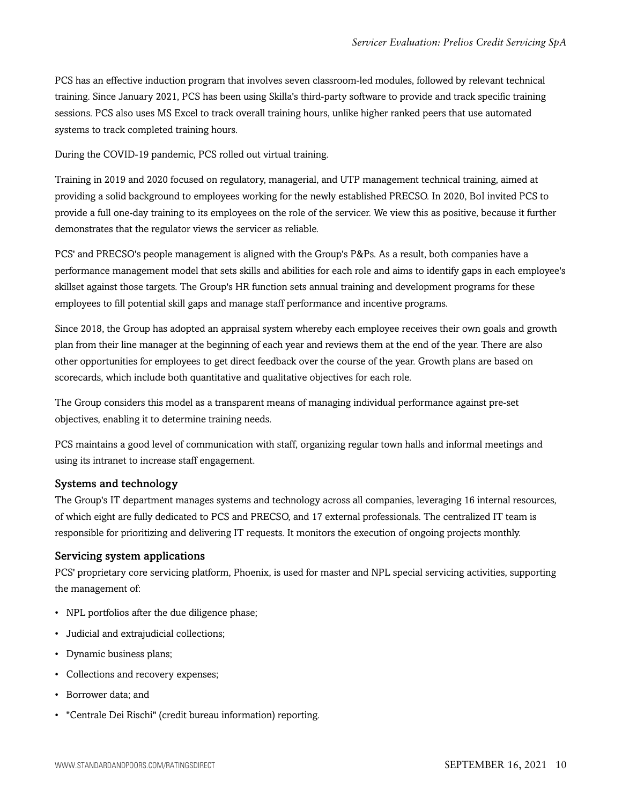PCS has an effective induction program that involves seven classroom-led modules, followed by relevant technical training. Since January 2021, PCS has been using Skilla's third-party software to provide and track specific training sessions. PCS also uses MS Excel to track overall training hours, unlike higher ranked peers that use automated systems to track completed training hours.

During the COVID-19 pandemic, PCS rolled out virtual training.

Training in 2019 and 2020 focused on regulatory, managerial, and UTP management technical training, aimed at providing a solid background to employees working for the newly established PRECSO. In 2020, BoI invited PCS to provide a full one-day training to its employees on the role of the servicer. We view this as positive, because it further demonstrates that the regulator views the servicer as reliable.

PCS' and PRECSO's people management is aligned with the Group's P&Ps. As a result, both companies have a performance management model that sets skills and abilities for each role and aims to identify gaps in each employee's skillset against those targets. The Group's HR function sets annual training and development programs for these employees to fill potential skill gaps and manage staff performance and incentive programs.

Since 2018, the Group has adopted an appraisal system whereby each employee receives their own goals and growth plan from their line manager at the beginning of each year and reviews them at the end of the year. There are also other opportunities for employees to get direct feedback over the course of the year. Growth plans are based on scorecards, which include both quantitative and qualitative objectives for each role.

The Group considers this model as a transparent means of managing individual performance against pre-set objectives, enabling it to determine training needs.

PCS maintains a good level of communication with staff, organizing regular town halls and informal meetings and using its intranet to increase staff engagement.

#### Systems and technology

The Group's IT department manages systems and technology across all companies, leveraging 16 internal resources, of which eight are fully dedicated to PCS and PRECSO, and 17 external professionals. The centralized IT team is responsible for prioritizing and delivering IT requests. It monitors the execution of ongoing projects monthly.

#### Servicing system applications

PCS' proprietary core servicing platform, Phoenix, is used for master and NPL special servicing activities, supporting the management of:

- NPL portfolios after the due diligence phase;
- Judicial and extrajudicial collections;
- Dynamic business plans;
- Collections and recovery expenses;
- Borrower data; and
- "Centrale Dei Rischi" (credit bureau information) reporting.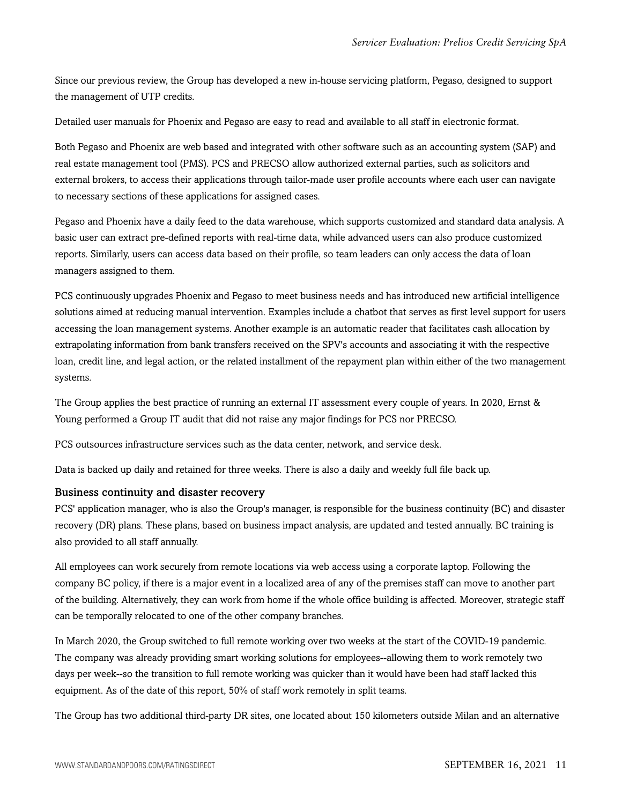Since our previous review, the Group has developed a new in-house servicing platform, Pegaso, designed to support the management of UTP credits.

Detailed user manuals for Phoenix and Pegaso are easy to read and available to all staff in electronic format.

Both Pegaso and Phoenix are web based and integrated with other software such as an accounting system (SAP) and real estate management tool (PMS). PCS and PRECSO allow authorized external parties, such as solicitors and external brokers, to access their applications through tailor-made user profile accounts where each user can navigate to necessary sections of these applications for assigned cases.

Pegaso and Phoenix have a daily feed to the data warehouse, which supports customized and standard data analysis. A basic user can extract pre-defined reports with real-time data, while advanced users can also produce customized reports. Similarly, users can access data based on their profile, so team leaders can only access the data of loan managers assigned to them.

PCS continuously upgrades Phoenix and Pegaso to meet business needs and has introduced new artificial intelligence solutions aimed at reducing manual intervention. Examples include a chatbot that serves as first level support for users accessing the loan management systems. Another example is an automatic reader that facilitates cash allocation by extrapolating information from bank transfers received on the SPV's accounts and associating it with the respective loan, credit line, and legal action, or the related installment of the repayment plan within either of the two management systems.

The Group applies the best practice of running an external IT assessment every couple of years. In 2020, Ernst & Young performed a Group IT audit that did not raise any major findings for PCS nor PRECSO.

PCS outsources infrastructure services such as the data center, network, and service desk.

Data is backed up daily and retained for three weeks. There is also a daily and weekly full file back up.

#### Business continuity and disaster recovery

PCS' application manager, who is also the Group's manager, is responsible for the business continuity (BC) and disaster recovery (DR) plans. These plans, based on business impact analysis, are updated and tested annually. BC training is also provided to all staff annually.

All employees can work securely from remote locations via web access using a corporate laptop. Following the company BC policy, if there is a major event in a localized area of any of the premises staff can move to another part of the building. Alternatively, they can work from home if the whole office building is affected. Moreover, strategic staff can be temporally relocated to one of the other company branches.

In March 2020, the Group switched to full remote working over two weeks at the start of the COVID-19 pandemic. The company was already providing smart working solutions for employees--allowing them to work remotely two days per week--so the transition to full remote working was quicker than it would have been had staff lacked this equipment. As of the date of this report, 50% of staff work remotely in split teams.

The Group has two additional third-party DR sites, one located about 150 kilometers outside Milan and an alternative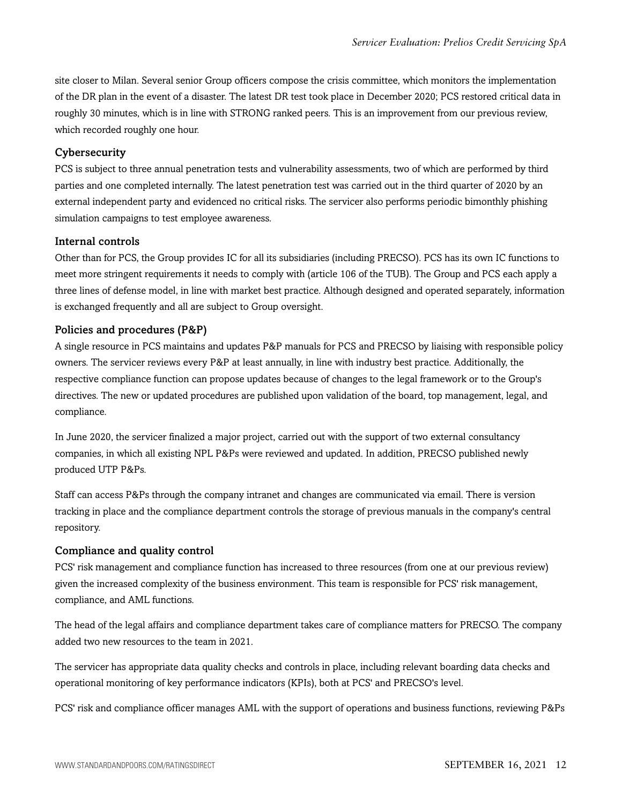site closer to Milan. Several senior Group officers compose the crisis committee, which monitors the implementation of the DR plan in the event of a disaster. The latest DR test took place in December 2020; PCS restored critical data in roughly 30 minutes, which is in line with STRONG ranked peers. This is an improvement from our previous review, which recorded roughly one hour.

#### **Cybersecurity**

PCS is subject to three annual penetration tests and vulnerability assessments, two of which are performed by third parties and one completed internally. The latest penetration test was carried out in the third quarter of 2020 by an external independent party and evidenced no critical risks. The servicer also performs periodic bimonthly phishing simulation campaigns to test employee awareness.

#### Internal controls

Other than for PCS, the Group provides IC for all its subsidiaries (including PRECSO). PCS has its own IC functions to meet more stringent requirements it needs to comply with (article 106 of the TUB). The Group and PCS each apply a three lines of defense model, in line with market best practice. Although designed and operated separately, information is exchanged frequently and all are subject to Group oversight.

#### Policies and procedures (P&P)

A single resource in PCS maintains and updates P&P manuals for PCS and PRECSO by liaising with responsible policy owners. The servicer reviews every P&P at least annually, in line with industry best practice. Additionally, the respective compliance function can propose updates because of changes to the legal framework or to the Group's directives. The new or updated procedures are published upon validation of the board, top management, legal, and compliance.

In June 2020, the servicer finalized a major project, carried out with the support of two external consultancy companies, in which all existing NPL P&Ps were reviewed and updated. In addition, PRECSO published newly produced UTP P&Ps.

Staff can access P&Ps through the company intranet and changes are communicated via email. There is version tracking in place and the compliance department controls the storage of previous manuals in the company's central repository.

#### Compliance and quality control

PCS' risk management and compliance function has increased to three resources (from one at our previous review) given the increased complexity of the business environment. This team is responsible for PCS' risk management, compliance, and AML functions.

The head of the legal affairs and compliance department takes care of compliance matters for PRECSO. The company added two new resources to the team in 2021.

The servicer has appropriate data quality checks and controls in place, including relevant boarding data checks and operational monitoring of key performance indicators (KPIs), both at PCS' and PRECSO's level.

PCS' risk and compliance officer manages AML with the support of operations and business functions, reviewing P&Ps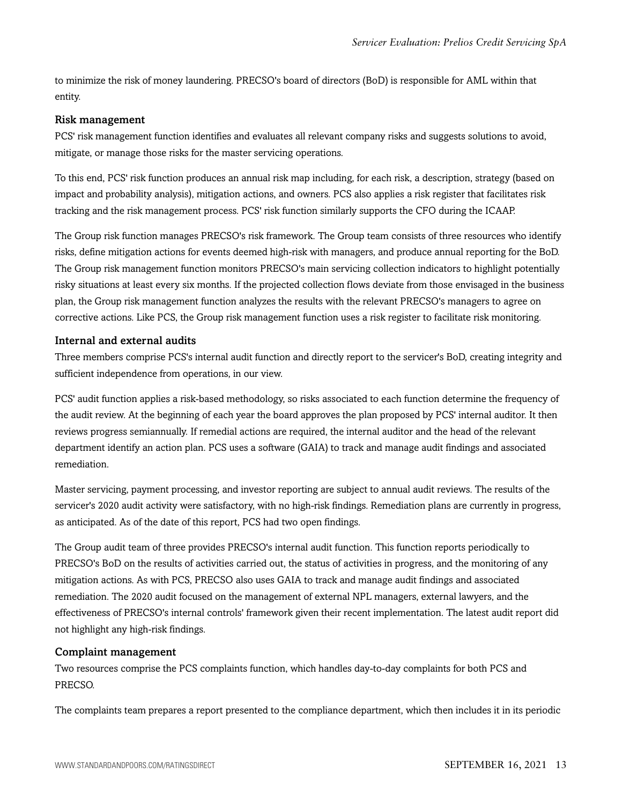to minimize the risk of money laundering. PRECSO's board of directors (BoD) is responsible for AML within that entity.

#### Risk management

PCS' risk management function identifies and evaluates all relevant company risks and suggests solutions to avoid, mitigate, or manage those risks for the master servicing operations.

To this end, PCS' risk function produces an annual risk map including, for each risk, a description, strategy (based on impact and probability analysis), mitigation actions, and owners. PCS also applies a risk register that facilitates risk tracking and the risk management process. PCS' risk function similarly supports the CFO during the ICAAP.

The Group risk function manages PRECSO's risk framework. The Group team consists of three resources who identify risks, define mitigation actions for events deemed high-risk with managers, and produce annual reporting for the BoD. The Group risk management function monitors PRECSO's main servicing collection indicators to highlight potentially risky situations at least every six months. If the projected collection flows deviate from those envisaged in the business plan, the Group risk management function analyzes the results with the relevant PRECSO's managers to agree on corrective actions. Like PCS, the Group risk management function uses a risk register to facilitate risk monitoring.

#### Internal and external audits

Three members comprise PCS's internal audit function and directly report to the servicer's BoD, creating integrity and sufficient independence from operations, in our view.

PCS' audit function applies a risk-based methodology, so risks associated to each function determine the frequency of the audit review. At the beginning of each year the board approves the plan proposed by PCS' internal auditor. It then reviews progress semiannually. If remedial actions are required, the internal auditor and the head of the relevant department identify an action plan. PCS uses a software (GAIA) to track and manage audit findings and associated remediation.

Master servicing, payment processing, and investor reporting are subject to annual audit reviews. The results of the servicer's 2020 audit activity were satisfactory, with no high-risk findings. Remediation plans are currently in progress, as anticipated. As of the date of this report, PCS had two open findings.

The Group audit team of three provides PRECSO's internal audit function. This function reports periodically to PRECSO's BoD on the results of activities carried out, the status of activities in progress, and the monitoring of any mitigation actions. As with PCS, PRECSO also uses GAIA to track and manage audit findings and associated remediation. The 2020 audit focused on the management of external NPL managers, external lawyers, and the effectiveness of PRECSO's internal controls' framework given their recent implementation. The latest audit report did not highlight any high-risk findings.

#### Complaint management

Two resources comprise the PCS complaints function, which handles day-to-day complaints for both PCS and PRECSO.

The complaints team prepares a report presented to the compliance department, which then includes it in its periodic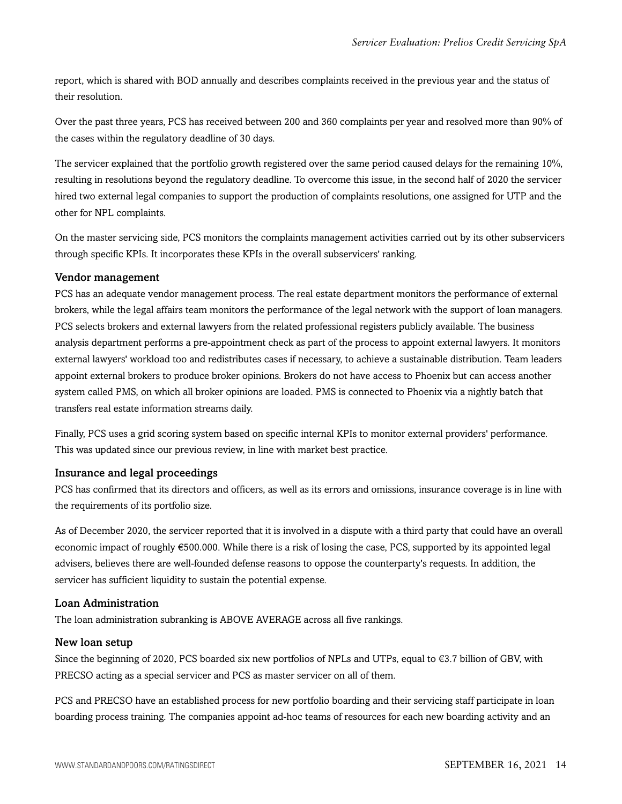report, which is shared with BOD annually and describes complaints received in the previous year and the status of their resolution.

Over the past three years, PCS has received between 200 and 360 complaints per year and resolved more than 90% of the cases within the regulatory deadline of 30 days.

The servicer explained that the portfolio growth registered over the same period caused delays for the remaining 10%, resulting in resolutions beyond the regulatory deadline. To overcome this issue, in the second half of 2020 the servicer hired two external legal companies to support the production of complaints resolutions, one assigned for UTP and the other for NPL complaints.

On the master servicing side, PCS monitors the complaints management activities carried out by its other subservicers through specific KPIs. It incorporates these KPIs in the overall subservicers' ranking.

#### Vendor management

PCS has an adequate vendor management process. The real estate department monitors the performance of external brokers, while the legal affairs team monitors the performance of the legal network with the support of loan managers. PCS selects brokers and external lawyers from the related professional registers publicly available. The business analysis department performs a pre-appointment check as part of the process to appoint external lawyers. It monitors external lawyers' workload too and redistributes cases if necessary, to achieve a sustainable distribution. Team leaders appoint external brokers to produce broker opinions. Brokers do not have access to Phoenix but can access another system called PMS, on which all broker opinions are loaded. PMS is connected to Phoenix via a nightly batch that transfers real estate information streams daily.

Finally, PCS uses a grid scoring system based on specific internal KPIs to monitor external providers' performance. This was updated since our previous review, in line with market best practice.

#### Insurance and legal proceedings

PCS has confirmed that its directors and officers, as well as its errors and omissions, insurance coverage is in line with the requirements of its portfolio size.

As of December 2020, the servicer reported that it is involved in a dispute with a third party that could have an overall economic impact of roughly €500.000. While there is a risk of losing the case, PCS, supported by its appointed legal advisers, believes there are well-founded defense reasons to oppose the counterparty's requests. In addition, the servicer has sufficient liquidity to sustain the potential expense.

#### Loan Administration

The loan administration subranking is ABOVE AVERAGE across all five rankings.

#### New loan setup

Since the beginning of 2020, PCS boarded six new portfolios of NPLs and UTPs, equal to €3.7 billion of GBV, with PRECSO acting as a special servicer and PCS as master servicer on all of them.

PCS and PRECSO have an established process for new portfolio boarding and their servicing staff participate in loan boarding process training. The companies appoint ad-hoc teams of resources for each new boarding activity and an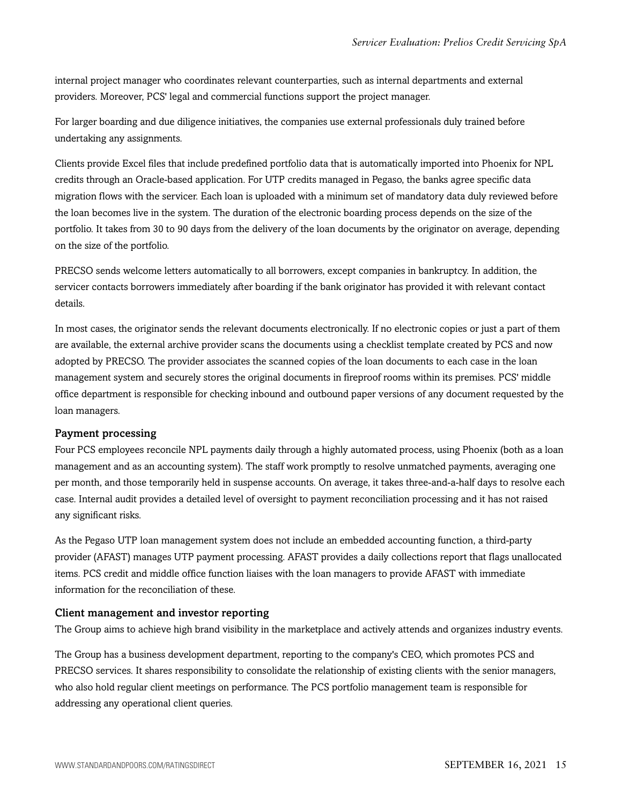internal project manager who coordinates relevant counterparties, such as internal departments and external providers. Moreover, PCS' legal and commercial functions support the project manager.

For larger boarding and due diligence initiatives, the companies use external professionals duly trained before undertaking any assignments.

Clients provide Excel files that include predefined portfolio data that is automatically imported into Phoenix for NPL credits through an Oracle-based application. For UTP credits managed in Pegaso, the banks agree specific data migration flows with the servicer. Each loan is uploaded with a minimum set of mandatory data duly reviewed before the loan becomes live in the system. The duration of the electronic boarding process depends on the size of the portfolio. It takes from 30 to 90 days from the delivery of the loan documents by the originator on average, depending on the size of the portfolio.

PRECSO sends welcome letters automatically to all borrowers, except companies in bankruptcy. In addition, the servicer contacts borrowers immediately after boarding if the bank originator has provided it with relevant contact details.

In most cases, the originator sends the relevant documents electronically. If no electronic copies or just a part of them are available, the external archive provider scans the documents using a checklist template created by PCS and now adopted by PRECSO. The provider associates the scanned copies of the loan documents to each case in the loan management system and securely stores the original documents in fireproof rooms within its premises. PCS' middle office department is responsible for checking inbound and outbound paper versions of any document requested by the loan managers.

#### Payment processing

Four PCS employees reconcile NPL payments daily through a highly automated process, using Phoenix (both as a loan management and as an accounting system). The staff work promptly to resolve unmatched payments, averaging one per month, and those temporarily held in suspense accounts. On average, it takes three-and-a-half days to resolve each case. Internal audit provides a detailed level of oversight to payment reconciliation processing and it has not raised any significant risks.

As the Pegaso UTP loan management system does not include an embedded accounting function, a third-party provider (AFAST) manages UTP payment processing. AFAST provides a daily collections report that flags unallocated items. PCS credit and middle office function liaises with the loan managers to provide AFAST with immediate information for the reconciliation of these.

#### Client management and investor reporting

The Group aims to achieve high brand visibility in the marketplace and actively attends and organizes industry events.

The Group has a business development department, reporting to the company's CEO, which promotes PCS and PRECSO services. It shares responsibility to consolidate the relationship of existing clients with the senior managers, who also hold regular client meetings on performance. The PCS portfolio management team is responsible for addressing any operational client queries.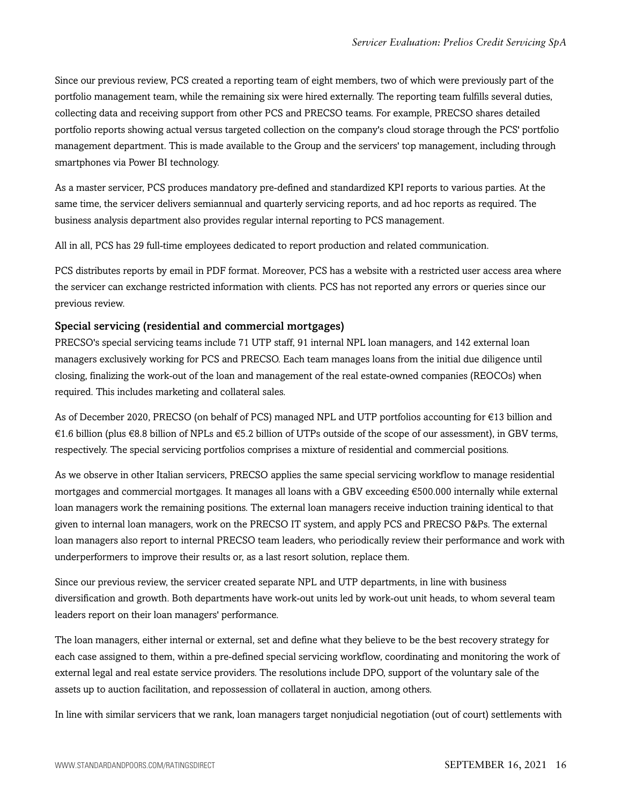Since our previous review, PCS created a reporting team of eight members, two of which were previously part of the portfolio management team, while the remaining six were hired externally. The reporting team fulfills several duties, collecting data and receiving support from other PCS and PRECSO teams. For example, PRECSO shares detailed portfolio reports showing actual versus targeted collection on the company's cloud storage through the PCS' portfolio management department. This is made available to the Group and the servicers' top management, including through smartphones via Power BI technology.

As a master servicer, PCS produces mandatory pre-defined and standardized KPI reports to various parties. At the same time, the servicer delivers semiannual and quarterly servicing reports, and ad hoc reports as required. The business analysis department also provides regular internal reporting to PCS management.

All in all, PCS has 29 full-time employees dedicated to report production and related communication.

PCS distributes reports by email in PDF format. Moreover, PCS has a website with a restricted user access area where the servicer can exchange restricted information with clients. PCS has not reported any errors or queries since our previous review.

#### Special servicing (residential and commercial mortgages)

PRECSO's special servicing teams include 71 UTP staff, 91 internal NPL loan managers, and 142 external loan managers exclusively working for PCS and PRECSO. Each team manages loans from the initial due diligence until closing, finalizing the work-out of the loan and management of the real estate-owned companies (REOCOs) when required. This includes marketing and collateral sales.

As of December 2020, PRECSO (on behalf of PCS) managed NPL and UTP portfolios accounting for €13 billion and  $€1.6$  billion (plus  $€8.8$  billion of NPLs and  $€5.2$  billion of UTPs outside of the scope of our assessment), in GBV terms, respectively. The special servicing portfolios comprises a mixture of residential and commercial positions.

As we observe in other Italian servicers, PRECSO applies the same special servicing workflow to manage residential mortgages and commercial mortgages. It manages all loans with a GBV exceeding €500.000 internally while external loan managers work the remaining positions. The external loan managers receive induction training identical to that given to internal loan managers, work on the PRECSO IT system, and apply PCS and PRECSO P&Ps. The external loan managers also report to internal PRECSO team leaders, who periodically review their performance and work with underperformers to improve their results or, as a last resort solution, replace them.

Since our previous review, the servicer created separate NPL and UTP departments, in line with business diversification and growth. Both departments have work-out units led by work-out unit heads, to whom several team leaders report on their loan managers' performance.

The loan managers, either internal or external, set and define what they believe to be the best recovery strategy for each case assigned to them, within a pre-defined special servicing workflow, coordinating and monitoring the work of external legal and real estate service providers. The resolutions include DPO, support of the voluntary sale of the assets up to auction facilitation, and repossession of collateral in auction, among others.

In line with similar servicers that we rank, loan managers target nonjudicial negotiation (out of court) settlements with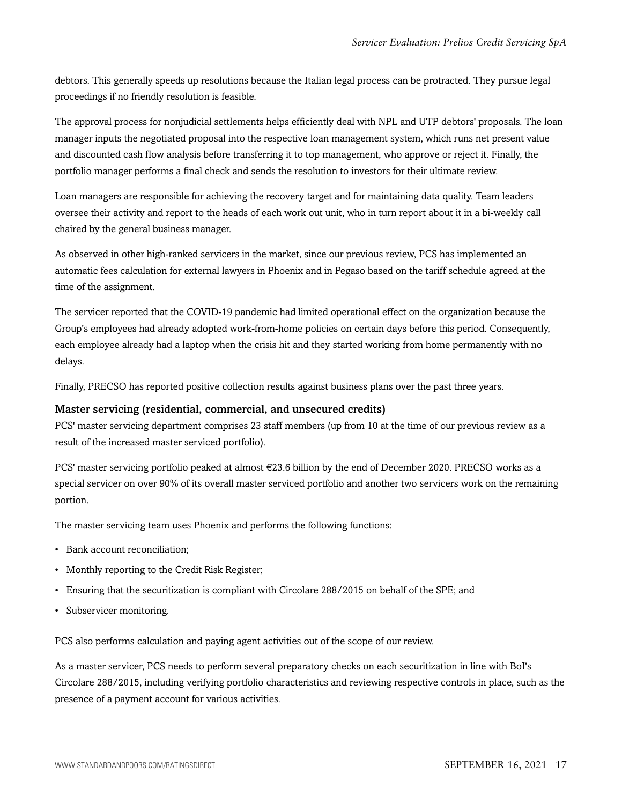debtors. This generally speeds up resolutions because the Italian legal process can be protracted. They pursue legal proceedings if no friendly resolution is feasible.

The approval process for nonjudicial settlements helps efficiently deal with NPL and UTP debtors' proposals. The loan manager inputs the negotiated proposal into the respective loan management system, which runs net present value and discounted cash flow analysis before transferring it to top management, who approve or reject it. Finally, the portfolio manager performs a final check and sends the resolution to investors for their ultimate review.

Loan managers are responsible for achieving the recovery target and for maintaining data quality. Team leaders oversee their activity and report to the heads of each work out unit, who in turn report about it in a bi-weekly call chaired by the general business manager.

As observed in other high-ranked servicers in the market, since our previous review, PCS has implemented an automatic fees calculation for external lawyers in Phoenix and in Pegaso based on the tariff schedule agreed at the time of the assignment.

The servicer reported that the COVID-19 pandemic had limited operational effect on the organization because the Group's employees had already adopted work-from-home policies on certain days before this period. Consequently, each employee already had a laptop when the crisis hit and they started working from home permanently with no delays.

Finally, PRECSO has reported positive collection results against business plans over the past three years.

#### Master servicing (residential, commercial, and unsecured credits)

PCS' master servicing department comprises 23 staff members (up from 10 at the time of our previous review as a result of the increased master serviced portfolio).

PCS' master servicing portfolio peaked at almost €23.6 billion by the end of December 2020. PRECSO works as a special servicer on over 90% of its overall master serviced portfolio and another two servicers work on the remaining portion.

The master servicing team uses Phoenix and performs the following functions:

- Bank account reconciliation;
- Monthly reporting to the Credit Risk Register;
- Ensuring that the securitization is compliant with Circolare 288/2015 on behalf of the SPE; and
- Subservicer monitoring.

PCS also performs calculation and paying agent activities out of the scope of our review.

As a master servicer, PCS needs to perform several preparatory checks on each securitization in line with BoI's Circolare 288/2015, including verifying portfolio characteristics and reviewing respective controls in place, such as the presence of a payment account for various activities.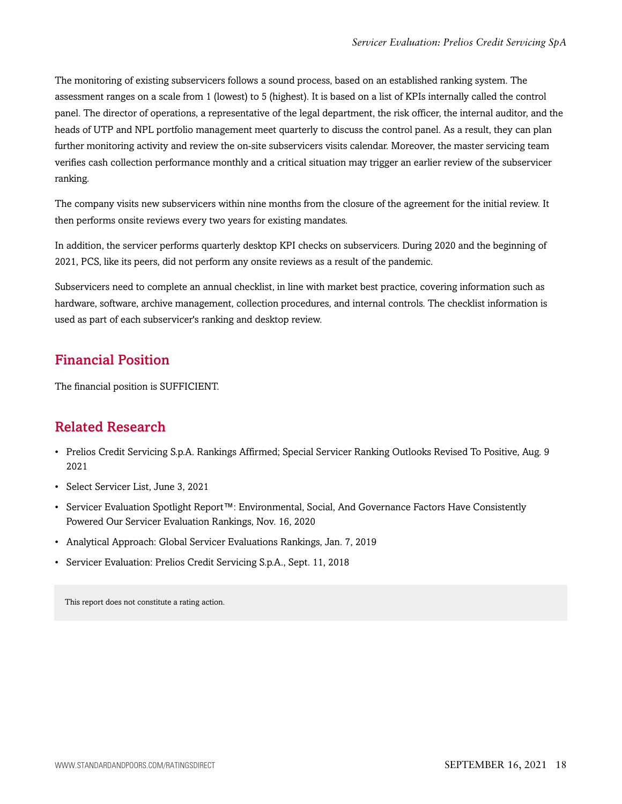The monitoring of existing subservicers follows a sound process, based on an established ranking system. The assessment ranges on a scale from 1 (lowest) to 5 (highest). It is based on a list of KPIs internally called the control panel. The director of operations, a representative of the legal department, the risk officer, the internal auditor, and the heads of UTP and NPL portfolio management meet quarterly to discuss the control panel. As a result, they can plan further monitoring activity and review the on-site subservicers visits calendar. Moreover, the master servicing team verifies cash collection performance monthly and a critical situation may trigger an earlier review of the subservicer ranking.

The company visits new subservicers within nine months from the closure of the agreement for the initial review. It then performs onsite reviews every two years for existing mandates.

In addition, the servicer performs quarterly desktop KPI checks on subservicers. During 2020 and the beginning of 2021, PCS, like its peers, did not perform any onsite reviews as a result of the pandemic.

Subservicers need to complete an annual checklist, in line with market best practice, covering information such as hardware, software, archive management, collection procedures, and internal controls. The checklist information is used as part of each subservicer's ranking and desktop review.

# <span id="page-17-0"></span>Financial Position

<span id="page-17-1"></span>The financial position is SUFFICIENT.

# Related Research

- Prelios Credit Servicing S.p.A. Rankings Affirmed; Special Servicer Ranking Outlooks Revised To Positive, Aug. 9 2021
- Select Servicer List, June 3, 2021
- Servicer Evaluation Spotlight Report™: Environmental, Social, And Governance Factors Have Consistently Powered Our Servicer Evaluation Rankings, Nov. 16, 2020
- Analytical Approach: Global Servicer Evaluations Rankings, Jan. 7, 2019
- Servicer Evaluation: Prelios Credit Servicing S.p.A., Sept. 11, 2018

This report does not constitute a rating action.